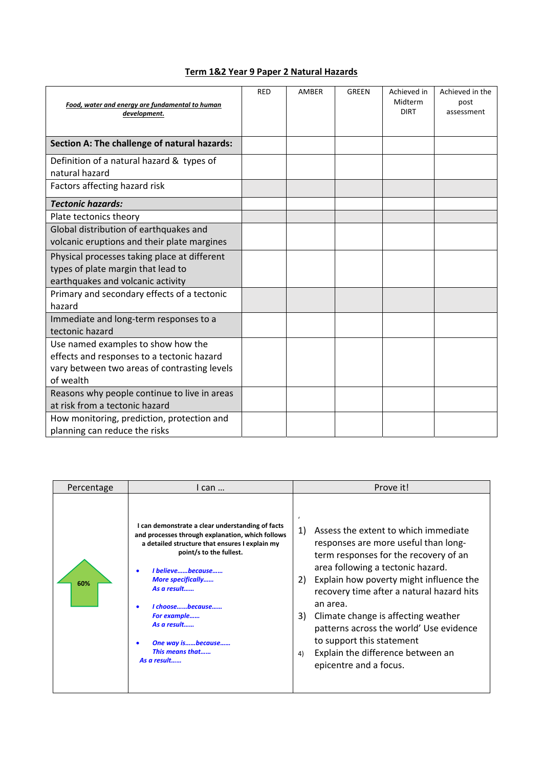## **Term 1&2 Year 9 Paper 2 Natural Hazards**

| Food, water and energy are fundamental to human<br>development.                                                                               | <b>RED</b> | AMBER | <b>GREEN</b> | Achieved in<br>Midterm<br><b>DIRT</b> | Achieved in the<br>post<br>assessment |
|-----------------------------------------------------------------------------------------------------------------------------------------------|------------|-------|--------------|---------------------------------------|---------------------------------------|
| Section A: The challenge of natural hazards:                                                                                                  |            |       |              |                                       |                                       |
| Definition of a natural hazard & types of<br>natural hazard                                                                                   |            |       |              |                                       |                                       |
| Factors affecting hazard risk                                                                                                                 |            |       |              |                                       |                                       |
| <b>Tectonic hazards:</b>                                                                                                                      |            |       |              |                                       |                                       |
| Plate tectonics theory                                                                                                                        |            |       |              |                                       |                                       |
| Global distribution of earthquakes and<br>volcanic eruptions and their plate margines                                                         |            |       |              |                                       |                                       |
| Physical processes taking place at different<br>types of plate margin that lead to<br>earthquakes and volcanic activity                       |            |       |              |                                       |                                       |
| Primary and secondary effects of a tectonic<br>hazard                                                                                         |            |       |              |                                       |                                       |
| Immediate and long-term responses to a<br>tectonic hazard                                                                                     |            |       |              |                                       |                                       |
| Use named examples to show how the<br>effects and responses to a tectonic hazard<br>vary between two areas of contrasting levels<br>of wealth |            |       |              |                                       |                                       |
| Reasons why people continue to live in areas<br>at risk from a tectonic hazard                                                                |            |       |              |                                       |                                       |
| How monitoring, prediction, protection and<br>planning can reduce the risks                                                                   |            |       |              |                                       |                                       |

| Percentage | I can                                                                                                                                                                                                                                                                                                                                                    | Prove it!                                                                                                                                                                                                                                                                                                                                                                                                                                                                          |
|------------|----------------------------------------------------------------------------------------------------------------------------------------------------------------------------------------------------------------------------------------------------------------------------------------------------------------------------------------------------------|------------------------------------------------------------------------------------------------------------------------------------------------------------------------------------------------------------------------------------------------------------------------------------------------------------------------------------------------------------------------------------------------------------------------------------------------------------------------------------|
| 60%        | I can demonstrate a clear understanding of facts<br>and processes through explanation, which follows<br>a detailed structure that ensures I explain my<br>point/s to the fullest.<br>I believebecause<br><b>More specifically</b><br>As a result<br>I choosebecause<br>For example<br>As a result<br>One way isbecause<br>This means that<br>As a result | $\epsilon$<br>Assess the extent to which immediate<br>1)<br>responses are more useful than long-<br>term responses for the recovery of an<br>area following a tectonic hazard.<br>Explain how poverty might influence the<br>2)<br>recovery time after a natural hazard hits<br>an area.<br>Climate change is affecting weather<br>3)<br>patterns across the world' Use evidence<br>to support this statement<br>Explain the difference between an<br>4)<br>epicentre and a focus. |